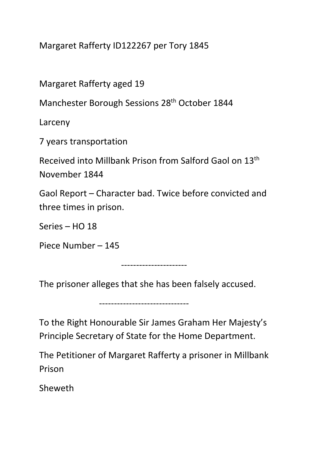Margaret Rafferty ID122267 per Tory 1845

Margaret Rafferty aged 19

Manchester Borough Sessions 28th October 1844

Larceny

7 years transportation

Received into Millbank Prison from Salford Gaol on 13th November 1844

Gaol Report – Character bad. Twice before convicted and three times in prison.

Series – HO 18

Piece Number – 145

----------------------

The prisoner alleges that she has been falsely accused.

------------------------------

To the Right Honourable Sir James Graham Her Majesty's Principle Secretary of State for the Home Department.

The Petitioner of Margaret Rafferty a prisoner in Millbank Prison

Sheweth